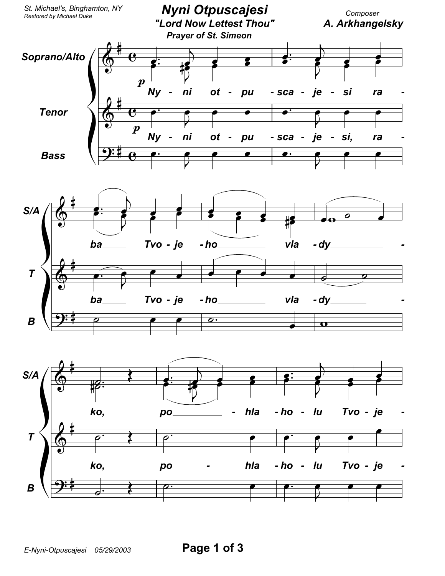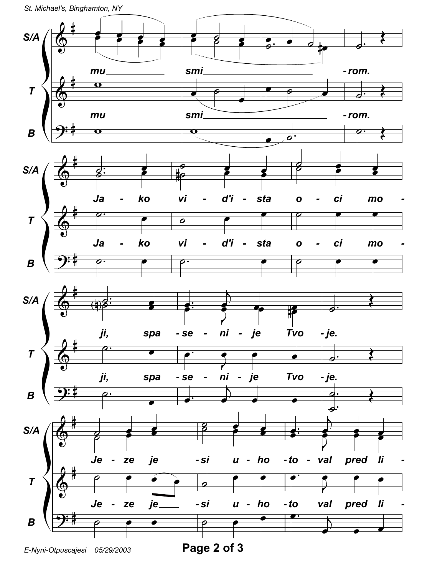